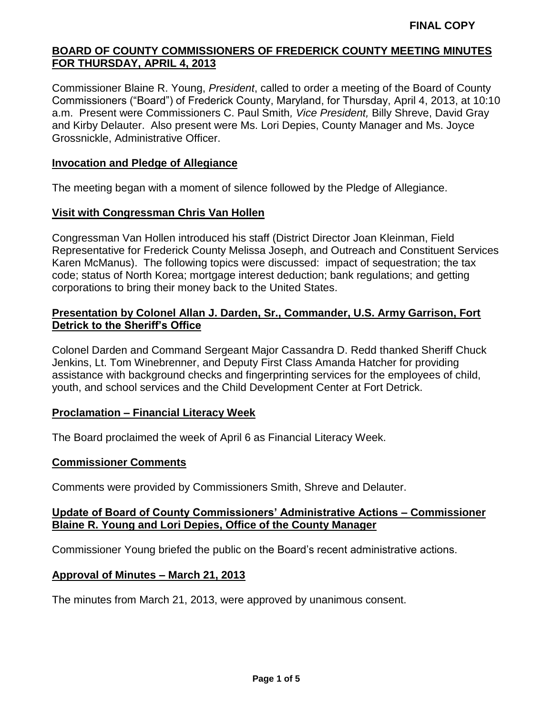Commissioner Blaine R. Young, *President*, called to order a meeting of the Board of County Commissioners ("Board") of Frederick County, Maryland, for Thursday, April 4, 2013, at 10:10 a.m. Present were Commissioners C. Paul Smith*, Vice President,* Billy Shreve, David Gray and Kirby Delauter. Also present were Ms. Lori Depies, County Manager and Ms. Joyce Grossnickle, Administrative Officer.

## **Invocation and Pledge of Allegiance**

The meeting began with a moment of silence followed by the Pledge of Allegiance.

### **Visit with Congressman Chris Van Hollen**

Congressman Van Hollen introduced his staff (District Director Joan Kleinman, Field Representative for Frederick County Melissa Joseph, and Outreach and Constituent Services Karen McManus). The following topics were discussed: impact of sequestration; the tax code; status of North Korea; mortgage interest deduction; bank regulations; and getting corporations to bring their money back to the United States.

# **Presentation by Colonel Allan J. Darden, Sr., Commander, U.S. Army Garrison, Fort Detrick to the Sheriff's Office**

Colonel Darden and Command Sergeant Major Cassandra D. Redd thanked Sheriff Chuck Jenkins, Lt. Tom Winebrenner, and Deputy First Class Amanda Hatcher for providing assistance with background checks and fingerprinting services for the employees of child, youth, and school services and the Child Development Center at Fort Detrick.

# **Proclamation – Financial Literacy Week**

The Board proclaimed the week of April 6 as Financial Literacy Week.

### **Commissioner Comments**

Comments were provided by Commissioners Smith, Shreve and Delauter.

# **Update of Board of County Commissioners' Administrative Actions – Commissioner Blaine R. Young and Lori Depies, Office of the County Manager**

Commissioner Young briefed the public on the Board's recent administrative actions.

### **Approval of Minutes – March 21, 2013**

The minutes from March 21, 2013, were approved by unanimous consent.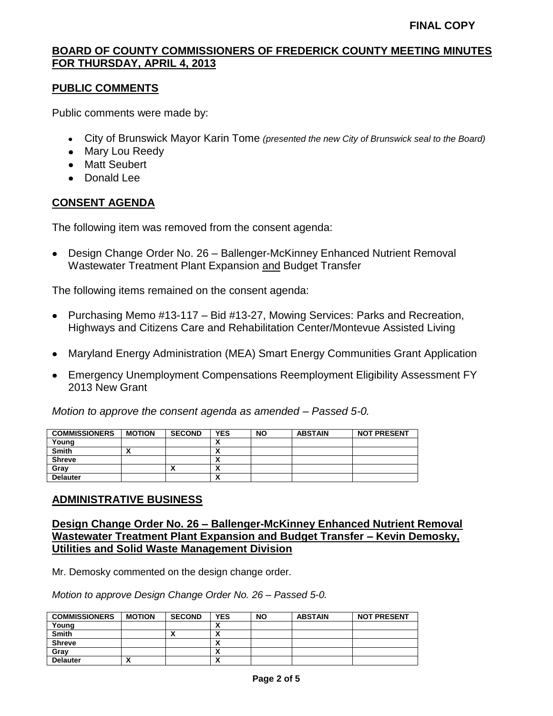# **PUBLIC COMMENTS**

Public comments were made by:

- City of Brunswick Mayor Karin Tome *(presented the new City of Brunswick seal to the Board)*
- Mary Lou Reedy
- Matt Seubert
- Donald Lee

# **CONSENT AGENDA**

The following item was removed from the consent agenda:

Design Change Order No. 26 – Ballenger-McKinney Enhanced Nutrient Removal Wastewater Treatment Plant Expansion and Budget Transfer

The following items remained on the consent agenda:

- Purchasing Memo #13-117 Bid #13-27, Mowing Services: Parks and Recreation, Highways and Citizens Care and Rehabilitation Center/Montevue Assisted Living
- Maryland Energy Administration (MEA) Smart Energy Communities Grant Application
- Emergency Unemployment Compensations Reemployment Eligibility Assessment FY 2013 New Grant

*Motion to approve the consent agenda as amended – Passed 5-0.*

| <b>COMMISSIONERS</b> | <b>MOTION</b> | <b>SECOND</b> | <b>YES</b>               | <b>NO</b> | <b>ABSTAIN</b> | <b>NOT PRESENT</b> |
|----------------------|---------------|---------------|--------------------------|-----------|----------------|--------------------|
| Young                |               |               |                          |           |                |                    |
| <b>Smith</b>         | ↗             |               | ↗                        |           |                |                    |
| <b>Shreve</b>        |               |               |                          |           |                |                    |
| Grav                 |               | ,,            | ^                        |           |                |                    |
| <b>Delauter</b>      |               |               | $\overline{\phantom{a}}$ |           |                |                    |

### **ADMINISTRATIVE BUSINESS**

## **Design Change Order No. 26 – Ballenger-McKinney Enhanced Nutrient Removal Wastewater Treatment Plant Expansion and Budget Transfer – Kevin Demosky, Utilities and Solid Waste Management Division**

Mr. Demosky commented on the design change order.

*Motion to approve Design Change Order No. 26 – Passed 5-0.*

| <b>COMMISSIONERS</b> | <b>MOTION</b>          | <b>SECOND</b> | YES | <b>NO</b> | <b>ABSTAIN</b> | <b>NOT PRESENT</b> |
|----------------------|------------------------|---------------|-----|-----------|----------------|--------------------|
| Young                |                        |               |     |           |                |                    |
| <b>Smith</b>         |                        |               | ^   |           |                |                    |
| <b>Shreve</b>        |                        |               | ^   |           |                |                    |
| Gray                 |                        |               | ^   |           |                |                    |
| <b>Delauter</b>      | $\mathbf{\mathcal{L}}$ |               | Λ   |           |                |                    |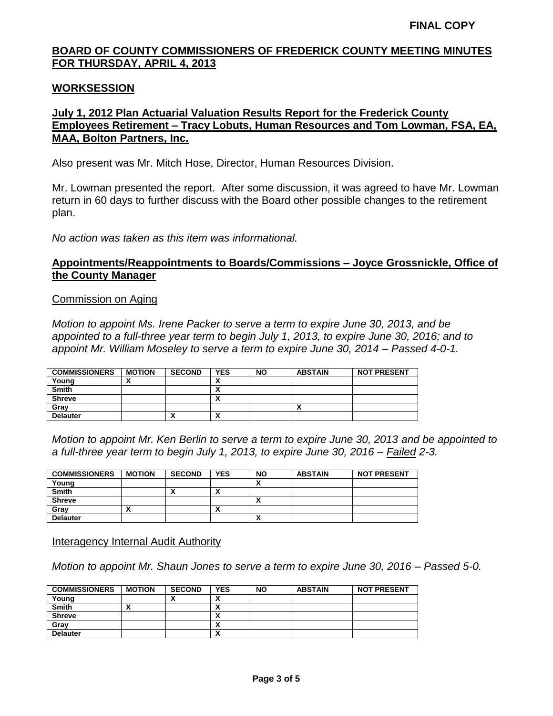## **WORKSESSION**

# **July 1, 2012 Plan Actuarial Valuation Results Report for the Frederick County Employees Retirement – Tracy Lobuts, Human Resources and Tom Lowman, FSA, EA, MAA, Bolton Partners, Inc.**

Also present was Mr. Mitch Hose, Director, Human Resources Division.

Mr. Lowman presented the report. After some discussion, it was agreed to have Mr. Lowman return in 60 days to further discuss with the Board other possible changes to the retirement plan.

*No action was taken as this item was informational.*

# **Appointments/Reappointments to Boards/Commissions – Joyce Grossnickle, Office of the County Manager**

#### Commission on Aging

*Motion to appoint Ms. Irene Packer to serve a term to expire June 30, 2013, and be appointed to a full-three year term to begin July 1, 2013, to expire June 30, 2016; and to appoint Mr. William Moseley to serve a term to expire June 30, 2014 – Passed 4-0-1.*

| <b>COMMISSIONERS</b> | <b>MOTION</b> | <b>SECOND</b> | <b>YES</b>               | <b>NO</b> | <b>ABSTAIN</b> | <b>NOT PRESENT</b> |
|----------------------|---------------|---------------|--------------------------|-----------|----------------|--------------------|
| Young                |               |               |                          |           |                |                    |
| <b>Smith</b>         |               |               | ^                        |           |                |                    |
| <b>Shreve</b>        |               |               | ^                        |           |                |                    |
| Grav                 |               |               |                          |           | Λ              |                    |
| <b>Delauter</b>      |               |               | $\overline{\phantom{a}}$ |           |                |                    |

*Motion to appoint Mr. Ken Berlin to serve a term to expire June 30, 2013 and be appointed to a full-three year term to begin July 1, 2013, to expire June 30, 2016 – Failed 2-3.*

| <b>COMMISSIONERS</b> | <b>MOTION</b> | <b>SECOND</b> | <b>YES</b>               | <b>NO</b> | <b>ABSTAIN</b> | <b>NOT PRESENT</b> |
|----------------------|---------------|---------------|--------------------------|-----------|----------------|--------------------|
| Young                |               |               |                          | Λ         |                |                    |
| <b>Smith</b>         |               |               | $\overline{\phantom{a}}$ |           |                |                    |
| <b>Shreve</b>        |               |               |                          | Λ         |                |                    |
| Gray                 | ,,            |               |                          |           |                |                    |
| <b>Delauter</b>      |               |               |                          | Λ         |                |                    |

Interagency Internal Audit Authority

*Motion to appoint Mr. Shaun Jones to serve a term to expire June 30, 2016 – Passed 5-0.*

| <b>COMMISSIONERS</b> | <b>MOTION</b> | <b>SECOND</b> | <b>YES</b>               | <b>NO</b> | <b>ABSTAIN</b> | <b>NOT PRESENT</b> |
|----------------------|---------------|---------------|--------------------------|-----------|----------------|--------------------|
| Young                |               |               |                          |           |                |                    |
| <b>Smith</b>         |               |               |                          |           |                |                    |
| <b>Shreve</b>        |               |               | ^                        |           |                |                    |
| Grav                 |               |               |                          |           |                |                    |
| <b>Delauter</b>      |               |               | $\overline{\phantom{a}}$ |           |                |                    |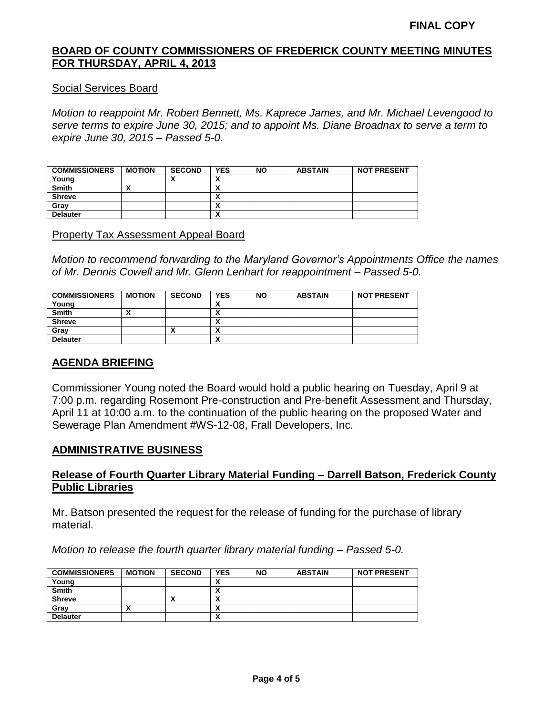#### Social Services Board

*Motion to reappoint Mr. Robert Bennett, Ms. Kaprece James, and Mr. Michael Levengood to serve terms to expire June 30, 2015; and to appoint Ms. Diane Broadnax to serve a term to expire June 30, 2015 – Passed 5-0.*

| <b>COMMISSIONERS</b> | <b>MOTION</b> | <b>SECOND</b> | <b>YES</b> | <b>NO</b> | <b>ABSTAIN</b> | <b>NOT PRESENT</b> |
|----------------------|---------------|---------------|------------|-----------|----------------|--------------------|
| Young                |               |               | ^          |           |                |                    |
| <b>Smith</b>         | Λ             |               | Λ          |           |                |                    |
| <b>Shreve</b>        |               |               | ^          |           |                |                    |
| Grav                 |               |               | ^          |           |                |                    |
| <b>Delauter</b>      |               |               | Λ          |           |                |                    |

#### Property Tax Assessment Appeal Board

*Motion to recommend forwarding to the Maryland Governor's Appointments Office the names of Mr. Dennis Cowell and Mr. Glenn Lenhart for reappointment – Passed 5-0.*

| <b>COMMISSIONERS</b> | <b>MOTION</b> | <b>SECOND</b> | <b>YES</b>                    | <b>NO</b> | <b>ABSTAIN</b> | <b>NOT PRESENT</b> |
|----------------------|---------------|---------------|-------------------------------|-----------|----------------|--------------------|
| Young                |               |               | v<br>$\overline{\phantom{a}}$ |           |                |                    |
| <b>Smith</b>         |               |               | v<br>^                        |           |                |                    |
| <b>Shreve</b>        |               |               | v<br>^                        |           |                |                    |
| Gray                 |               |               | v<br>$\overline{\phantom{a}}$ |           |                |                    |
| <b>Delauter</b>      |               |               | v<br>$\overline{\phantom{a}}$ |           |                |                    |

## **AGENDA BRIEFING**

Commissioner Young noted the Board would hold a public hearing on Tuesday, April 9 at 7:00 p.m. regarding Rosemont Pre-construction and Pre-benefit Assessment and Thursday, April 11 at 10:00 a.m. to the continuation of the public hearing on the proposed Water and Sewerage Plan Amendment #WS-12-08, Frall Developers, Inc.

### **ADMINISTRATIVE BUSINESS**

## **Release of Fourth Quarter Library Material Funding – Darrell Batson, Frederick County Public Libraries**

Mr. Batson presented the request for the release of funding for the purchase of library material.

*Motion to release the fourth quarter library material funding – Passed 5-0.*

| <b>COMMISSIONERS</b> | <b>MOTION</b> | <b>SECOND</b> | YES | <b>NO</b> | <b>ABSTAIN</b> | <b>NOT PRESENT</b> |
|----------------------|---------------|---------------|-----|-----------|----------------|--------------------|
| Young                |               |               | ,,  |           |                |                    |
| <b>Smith</b>         |               |               | ,,  |           |                |                    |
| <b>Shreve</b>        |               |               |     |           |                |                    |
| Gray                 |               |               |     |           |                |                    |
| <b>Delauter</b>      |               |               | ^   |           |                |                    |